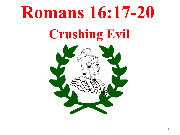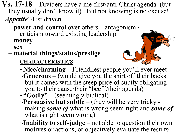**Vs. 17-18** – Dividers have a me-first/anti-Christ agenda (but they usually don't know it). But not knowing is no excuse!

- "*Appetite*"/lust driven
	- **power and control** over others antagonism / criticism toward existing leadership – **money**
	-
	- **sex**
	- **material things/status/prestige**

## **CHARACTERISTICS**



- **~Nice/charming** Friendliest people you'll ever meet **~Generous** – (would give you the shirt off their backs but it comes with the steep price of subtly obligating you to their cause/their "beef"/their agenda)
- ~"Godly" (seemingly biblical)<br>~Persuasive but subtle (they will be very tricky making *some of* what is wrong seem right and *some of* what is right seem wrong)
- **~Inability to self-judge**  not able to question their own motives or actions, or objectively evaluate the results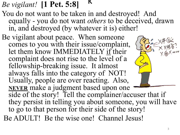k *Be vigilant!* **[1 Pet. 5:8]**

- You do not want to be taken in and destroyed! And equally - you do not want *others* to be deceived, drawn in, and destroyed (by whatever it is) either!
- Be vigilant about peace. When someone comes to you with their issue/complaint, let them know IMMEDIATELY if their complaint does not rise to the level of a fellowship-breaking issue. It almost always falls into the category of NOT! Usually, people are over reacting. Also, **NEVER** make a judgment based upon one side of the story! Tell the complainer/accuser that if they persist in telling you about someone, you will have to go to that person for their side of the story!
	- Be ADULT! Be the wise one! Channel Jesus!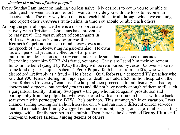## "…*deceive the minds of naïve people*"

- Every Sunday I am intent on making you less naïve. My desire is to equip you to be able to distinguish between truth and error! I want to provide you with the tools to become un- deceive-able! The only way to do that is to teach biblical truth through which we can judge (and reject) other *erroneous* truth-claims. in time You should be able teach others
- Among the general populace there is a disproportionate naivety with Christians. Christians have proven to be easy prey! The vast numbers of congregants in off-beat TV preacher's churches proves this!

**Kenneth Copeland** comes to mind – crazy-eyes and the speech of a Bible-twisting megalo-maniac! He owns his own personal jet and a collection of airplanes,



multi-million dollar homes, luxury cars, tailor made suits that each cost thousands! Everything about him SCREAMs fraud, yet naïve "Christians" send him their retirement funds in the belief (taught by K.C.) that they will be reimbursed by Jesus  $10x$  over – like its some kind of get rich quick scheme! **Peter Popov**, faith healer from the 80s, who was discredited irrefutably as a fraud – (He's back). **Oral Roberts**, a demented TV preacher who saw that 900' Jesus ordering him, upon pain of death, to build a \$20 million hospital on the "Oral Roberts University" campus. The hospital then proceeded to fail dismally. It had top doctors and surgeons, but needed *patients* and did not have nearly enough of them to fill such a gargantuan facility! **Jimmy Swaggert** – the guy who railed against prostitution and pornography from the pulpit, but who was arrested with a prostitute in his car with the back seat strewn with pornography. BTW – he's back too. This summer, while on vacation, I was channel surfing looking for a church service on TV and ran into 3 different church services that had a much older Jimmy Swaggert either in the pulpit, singing on stage, or at least sitting on stage with a family member in the pulpit! Then there is the discredited **Benny Hinn** ,and crazy-man **Robert Tilton,.. among dozens of others**!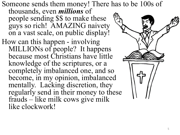Someone sends them money! There has to be 100s of thousands, even *millions* of people sending \$\$ to make these guys so rich! AMAZING naivety on a vast scale, on public display! How can this happen - involving MILLIONs of people? It happens because most Christians have little knowledge of the scriptures, or a completely imbalanced one, and so become, in my opinion, imbalanced mentally. Lacking discretion, they regularly send in their money to these frauds – like milk cows give milk like clockwork!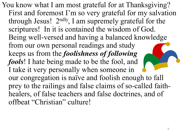You know what I am most grateful for at Thanksgiving? First and foremost I'm so very grateful for my salvation through Jesus! 2ndly, I am supremely grateful for the scriptures! In it is contained the wisdom of God. Being well-versed and having a balanced knowledge from our own personal readings and study keeps us from the *foolishness of following fools*! I hate being made to be the fool, and I take it very personally when someone in our congregation is naïve and foolish enough to fall prey to the railings and false claims of so-called faithhealers, of false teachers and false doctrines, and of offbeat "Christian" culture!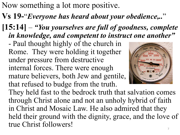Now something a lot more positive.

- **Vs 19-**"*Everyone has heard about your obedience,..*"
- **[15:14]**  *"You yourselves are full of goodness, complete in knowledge, and competent to instruct one another"*

- Paul thought highly of the church in Rome. They were holding it together under pressure from destructive internal forces. There were enough mature believers, both Jew and gentile, that refused to budge from the truth.



They held fast to the bedrock truth that salvation comes through Christ alone and not an unholy hybrid of faith in Christ and Mosaic Law. He also admired that they held their ground with the dignity, grace, and the love of true Christ followers!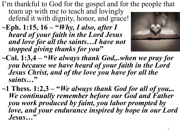I'm thankful to God for the gospel and for the people that

team up with me to teach and lovingly defend it with dignity, honor, and grace!

**~Eph. 1:15, 16 – "***Why, I also, after I heard of your faith in the Lord Jesus and love for all the saints…I have not stopped giving thanks for you***"**



- **~Col. 1:3,4 – "***We always thank God,..when we pray for you because we have heard of your faith in the Lord Jesus Christ, and of the love you have for all the saints…***"**
- **~1 Thess. 1:2,3 – "***We always thank God for all of you,.. We continually remember before our God and Father you work produced by faint, you labor prompted by love, and your endurance inspired by hope in our Lord Jesus…***"**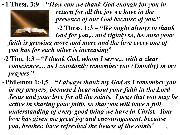**~1 Thess. 3:9 – "***How can we thank God enough for you in* 



*return for all the joy we have in the presence of our God because of you.***"**

**~2 Thess. 1:3 – "***We ought always to thank God for you,.. and rightly so, because your* 

*faith is growing more and more and the love every one of you has for each other is increasin***g"**

- **~2 Tim. 1:3 – "***I thank God, whom I serve,.. with a clear conscience… as I constantly remember you (Timothy) in my prayers***."**
- **~Philemon 1:4,5 – "***I always thank my God as I remember you in my prayers, because I hear about your faith in the Lord Jesus and your love for all the saints. I pray that you may be active in sharing your faith, so that you will have a full understanding of every good thing we have in Christ. Your love has given me great joy and encouragement, because you, brother, have refreshed the hearts of the saints*" 9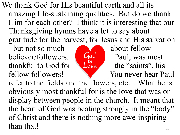We thank God for His beautiful earth and all its amazing life-sustaining qualities. But do we thank Him for each other? I think it is interesting that our Thanksgiving hymns have a lot to say about gratitude for the harvest, for Jesus and His salvation

- but not so much<br>heliever/followers **about fellow** believer/followers.<br>
thankful to God for<br>
Love the "saints" his thankful to God for Love the "saints", his fellow followers! You never hear Paul



refer to the fields and the flowers, etc… What he is obviously most thankful for is the love that was on display between people in the church. It meant that the heart of God was beating strongly in the "body" of Christ and there is nothing more awe-inspiring than that!  $\frac{1}{10}$